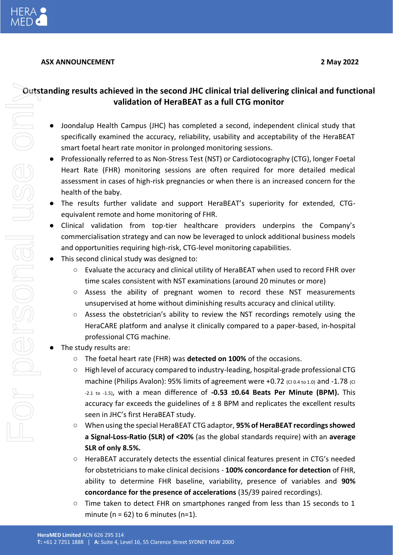

# **ASX ANNOUNCEMENT 2 May 2022**

# **Outstanding results achieved in the second JHC clinical trial delivering clinical and functional validation of HeraBEAT as a full CTG monitor**

- Joondalup Health Campus (JHC) has completed a second, independent clinical study that specifically examined the accuracy, reliability, usability and acceptability of the HeraBEAT smart foetal heart rate monitor in prolonged monitoring sessions.
- Professionally referred to as Non-Stress Test (NST) or Cardiotocography (CTG), longer Foetal Heart Rate (FHR) monitoring sessions are often required for more detailed medical assessment in cases of high-risk pregnancies or when there is an increased concern for the health of the baby.
- The results further validate and support HeraBEAT's superiority for extended, CTGequivalent remote and home monitoring of FHR.
- Clinical validation from top-tier healthcare providers underpins the Company's commercialisation strategy and can now be leveraged to unlock additional business models and opportunities requiring high-risk, CTG-level monitoring capabilities.
- This second clinical study was designed to:
	- Evaluate the accuracy and clinical utility of HeraBEAT when used to record FHR over time scales consistent with NST examinations (around 20 minutes or more)
	- Assess the ability of pregnant women to record these NST measurements unsupervised at home without diminishing results accuracy and clinical utility.
	- $\circ$  Assess the obstetrician's ability to review the NST recordings remotely using the HeraCARE platform and analyse it clinically compared to a paper-based, in-hospital professional CTG machine.
- The study results are:
	- The foetal heart rate (FHR) was **detected on 100%** of the occasions.
	- High level of accuracy compared to industry-leading, hospital-grade professional CTG machine (Philips Avalon): 95% limits of agreement were  $+0.72$  (CI 0.4 to 1.0) and -1.78 (CI -2.1 to -1.5), with a mean difference of **-0.53 ±0.64 Beats Per Minute (BPM).** This accuracy far exceeds the guidelines of  $\pm 8$  BPM and replicates the excellent results seen in JHC's first HeraBEAT study.
	- When using the special HeraBEAT CTG adaptor, **95% of HeraBEAT recordings showed a Signal-Loss-Ratio (SLR) of <20%** (as the global standards require) with an **average SLR of only 8.5%.**
	- HeraBEAT accurately detects the essential clinical features present in CTG's needed for obstetricians to make clinical decisions - **100% concordance for detection** of FHR, ability to determine FHR baseline, variability, presence of variables and **90% concordance for the presence of accelerations** (35/39 paired recordings).
	- Time taken to detect FHR on smartphones ranged from less than 15 seconds to 1 minute ( $n = 62$ ) to 6 minutes ( $n=1$ ).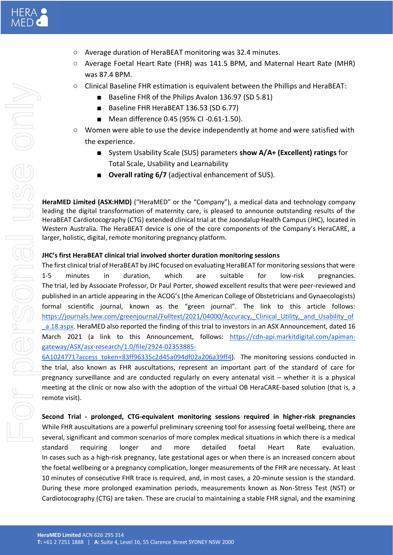- Average duration of HeraBEAT monitoring was 32.4 minutes.
- Average Foetal Heart Rate (FHR) was 141.5 BPM, and Maternal Heart Rate (MHR) was 87.4 BPM.
- Clinical Baseline FHR estimation is equivalent between the Phillips and HeraBEAT:
	- Baseline FHR of the Philips Avalon 136.97 (SD 5.81)
	- Baseline FHR HeraBEAT 136.53 (SD 6.77)
	- Mean difference 0.45 (95% CI -0.61-1.50).
- Women were able to use the device independently at home and were satisfied with the experience.
	- System Usability Scale (SUS) parameters **show A/A+ (Excellent) ratings** for Total Scale, Usability and Learnability
	- **Overall rating 6/7** (adjectival enhancement of SUS).

**HeraMED Limited (ASX:HMD)** ("HeraMED" or the "Company"), a medical data and technology company leading the digital transformation of maternity care, is pleased to announce outstanding results of the HeraBEAT Cardiotocography (CTG) extended clinical trial at the Joondalup Health Campus (JHC), located in Western Australia. The HeraBEAT device is one of the core components of the Company's HeraCARE, a larger, holistic, digital, remote monitoring pregnancy platform.

## **JHC's first HeraBEAT clinical trial involved shorter duration monitoring sessions**

The first clinical trial of HeraBEAT by JHC focused on evaluating HeraBEAT for monitoring sessions that were 1-5 minutes in duration, which are suitable for low-risk pregnancies. The trial, led by Associate Professor, Dr Paul Porter, showed excellent results that were peer-reviewed and published in an article appearing in the ACOG's (the American College of Obstetricians and Gynaecologists) formal scientific journal, known as the "green journal". The link to this article follows[:](https://journals.lww.com/greenjournal/Fulltext/2021/04000/Accuracy,_Clinical_Utility,_and_Usability_of_a.18.aspx) https://journals.lww.com/greenjournal/Fulltext/2021/04000/Accuracy, Clinical Utility, and Usability of [\\_a.18.aspx.](https://journals.lww.com/greenjournal/Fulltext/2021/04000/Accuracy,_Clinical_Utility,_and_Usability_of_a.18.aspx) HeraMED also reported the finding of this trial to investors in an ASX Announcement, dated 16 March 2021 (a link to this Announcement, follows: [https://cdn-api.markitdigital.com/apiman](https://cdn-api.markitdigital.com/apiman-gateway/ASX/asx-research/1.0/file/2924-02353885-6A1024771?access_token=83ff96335c2d45a094df02a206a39ff4)[gateway/ASX/asx-research/1.0/file/2924-02353885-](https://cdn-api.markitdigital.com/apiman-gateway/ASX/asx-research/1.0/file/2924-02353885-6A1024771?access_token=83ff96335c2d45a094df02a206a39ff4)

[6A1024771?access\\_token=83ff96335c2d45a094df02a206a39ff4\)](https://cdn-api.markitdigital.com/apiman-gateway/ASX/asx-research/1.0/file/2924-02353885-6A1024771?access_token=83ff96335c2d45a094df02a206a39ff4). The monitoring sessions conducted in the trial, also known as FHR auscultations, represent an important part of the standard of care for pregnancy surveillance and are conducted regularly on every antenatal visit – whether it is a physical meeting at the clinic or now also with the adoption of the virtual OB HeraCARE-based solution (that is, a remote visit).

**Second Trial - prolonged, CTG-equivalent monitoring sessions required in higher-risk pregnancies** While FHR auscultations are a powerful preliminary screening tool for assessing foetal wellbeing, there are several, significant and common scenarios of more complex medical situations in which there is a medical standard requiring longer and more detailed foetal Heart Rate evaluation. In cases such as a high-risk pregnancy, late gestational ages or when there is an increased concern about the foetal wellbeing or a pregnancy complication, longer measurements of the FHR are necessary. At least 10 minutes of consecutive FHR trace is required, and, in most cases, a 20-minute session is the standard. During these more prolonged examination periods, measurements known as Non-Stress Test (NST) or Cardiotocography (CTG) are taken. These are crucial to maintaining a stable FHR signal, and the examining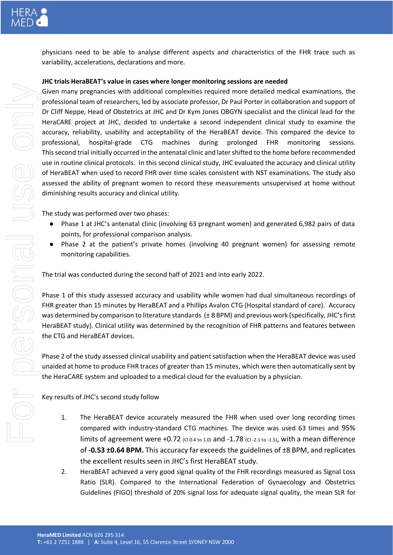physicians need to be able to analyse different aspects and characteristics of the FHR trace such as variability, accelerations, declarations and more.

## **JHC trials HeraBEAT's value in cases where longer monitoring sessions are needed**

Given many pregnancies with additional complexities required more detailed medical examinations, the professional team of researchers, led by associate professor, Dr Paul Porter in collaboration and support of Dr Cliff Neppe, Head of Obstetrics at JHC and Dr Kym Jones OBGYN specialist and the clinical lead for the HeraCARE project at JHC, decided to undertake a second independent clinical study to examine the accuracy, reliability, usability and acceptability of the HeraBEAT device. This compared the device to professional, hospital-grade CTG machines during prolonged FHR monitoring sessions. This second trial initially occurred in the antenatal clinic and later shifted to the home before recommended use in routine clinical protocols. In this second clinical study, JHC evaluated the accuracy and clinical utility of HeraBEAT when used to record FHR over time scales consistent with NST examinations. The study also assessed the ability of pregnant women to record these measurements unsupervised at home without diminishing results accuracy and clinical utility.

The study was performed over two phases:

- Phase 1 at JHC's antenatal clinic (involving 63 pregnant women) and generated 6,982 pairs of data points, for professional comparison analysis.
- Phase 2 at the patient's private homes (involving 40 pregnant women) for assessing remote monitoring capabilities.

The trial was conducted during the second half of 2021 and into early 2022.

Phase 1 of this study assessed accuracy and usability while women had dual simultaneous recordings of FHR greater than 15 minutes by HeraBEAT and a Phillips Avalon CTG (Hospital standard of care). Accuracy was determined by comparison to literature standards (± 8 BPM) and previous work (specifically, JHC's first HeraBEAT study). Clinical utility was determined by the recognition of FHR patterns and features between the CTG and HeraBEAT devices.

Phase 2 of the study assessed clinical usability and patient satisfaction when the HeraBEAT device was used unaided at home to produce FHR traces of greater than 15 minutes, which were then automatically sent by the HeraCARE system and uploaded to a medical cloud for the evaluation by a physician.

Key results of JHC's second study follow

- 1. The HeraBEAT device accurately measured the FHR when used over long recording times compared with industry-standard CTG machines. The device was used 63 times and 95% limits of agreement were  $+0.72$  ( $c_{10.4 \text{ to } 1.0}$ ) and  $-1.78$  ( $c_{1.2.1 \text{ to } 1.5}$ ), with a mean difference of **-0.53 ±0.64 BPM.** This accuracy far exceeds the guidelines of ±8 BPM, and replicates the excellent results seen in JHC's first HeraBEAT study.
- 2. HeraBEAT achieved a very good signal quality of the FHR recordings measured as Signal Loss Ratio (SLR). Compared to the International Federation of Gynaecology and Obstetrics Guidelines (FIGO) threshold of 20% signal loss for adequate signal quality, the mean SLR for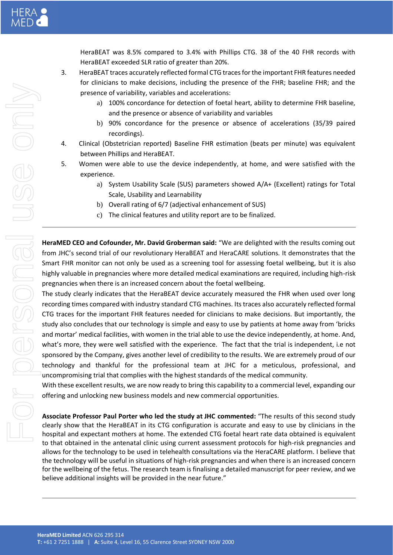HeraBEAT was 8.5% compared to 3.4% with Phillips CTG. 38 of the 40 FHR records with HeraBEAT exceeded SLR ratio of greater than 20%.

- 3. HeraBEAT traces accurately reflected formal CTG traces for the important FHR features needed for clinicians to make decisions, including the presence of the FHR; baseline FHR; and the presence of variability, variables and accelerations:
	- a) 100% concordance for detection of foetal heart, ability to determine FHR baseline, and the presence or absence of variability and variables
	- b) 90% concordance for the presence or absence of accelerations (35/39 paired recordings).
- 4. Clinical (Obstetrician reported) Baseline FHR estimation (beats per minute) was equivalent between Phillips and HeraBEAT.
- 5. Women were able to use the device independently, at home, and were satisfied with the experience.
	- a) System Usability Scale (SUS) parameters showed A/A+ (Excellent) ratings for Total Scale, Usability and Learnability
	- b) Overall rating of 6/7 (adjectival enhancement of SUS)
	- c) The clinical features and utility report are to be finalized.

**HeraMED CEO and Cofounder, Mr. David Groberman said:** "We are delighted with the results coming out from JHC's second trial of our revolutionary HeraBEAT and HeraCARE solutions. It demonstrates that the Smart FHR monitor can not only be used as a screening tool for assessing foetal wellbeing, but it is also highly valuable in pregnancies where more detailed medical examinations are required, including high-risk pregnancies when there is an increased concern about the foetal wellbeing.

The study clearly indicates that the HeraBEAT device accurately measured the FHR when used over long recording times compared with industry standard CTG machines. Its traces also accurately reflected formal CTG traces for the important FHR features needed for clinicians to make decisions. But importantly, the study also concludes that our technology is simple and easy to use by patients at home away from 'bricks and mortar' medical facilities, with women in the trial able to use the device independently, at home. And, what's more, they were well satisfied with the experience. The fact that the trial is independent, i.e not sponsored by the Company, gives another level of credibility to the results. We are extremely proud of our technology and thankful for the professional team at JHC for a meticulous, professional, and uncompromising trial that complies with the highest standards of the medical community.

With these excellent results, we are now ready to bring this capability to a commercial level, expanding our offering and unlocking new business models and new commercial opportunities.

**Associate Professor Paul Porter who led the study at JHC commented:** "The results of this second study clearly show that the HeraBEAT in its CTG configuration is accurate and easy to use by clinicians in the hospital and expectant mothers at home. The extended CTG foetal heart rate data obtained is equivalent to that obtained in the antenatal clinic using current assessment protocols for high-risk pregnancies and allows for the technology to be used in telehealth consultations via the HeraCARE platform. I believe that the technology will be useful in situations of high-risk pregnancies and when there is an increased concern for the wellbeing of the fetus. The research team is finalising a detailed manuscript for peer review, and we believe additional insights will be provided in the near future."